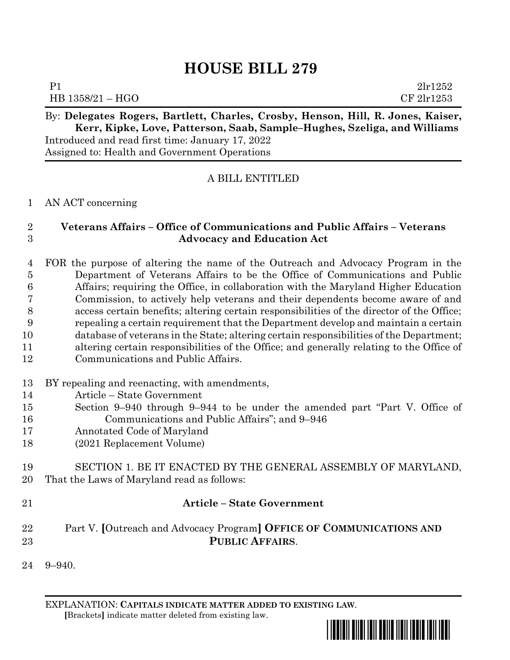# **HOUSE BILL 279**

| <u>n n i</u><br>$\overline{\phantom{a}}$ | $\mathbf{r}$ $\mathbf{r}$ $\mathbf{r}$ | $\sim$ | -- | T | $\mathbf{r}$ |
|------------------------------------------|----------------------------------------|--------|----|---|--------------|
| HB 1358/21 - HGO                         |                                        |        |    |   | CF 2lr1253   |
| $\mathbf{P}^{\cdot}$                     |                                        |        |    |   | 21r1252      |

#### By: **Delegates Rogers, Bartlett, Charles, Crosby, Henson, Hill, R. Jones, Kaiser, Kerr, Kipke, Love, Patterson, Saab, Sample–Hughes, Szeliga, and Williams** Introduced and read first time: January 17, 2022 Assigned to: Health and Government Operations

## A BILL ENTITLED

#### AN ACT concerning

## **Veterans Affairs – Office of Communications and Public Affairs – Veterans Advocacy and Education Act**

## FOR the purpose of altering the name of the Outreach and Advocacy Program in the Department of Veterans Affairs to be the Office of Communications and Public Affairs; requiring the Office, in collaboration with the Maryland Higher Education Commission, to actively help veterans and their dependents become aware of and access certain benefits; altering certain responsibilities of the director of the Office; repealing a certain requirement that the Department develop and maintain a certain database of veterans in the State; altering certain responsibilities of the Department; altering certain responsibilities of the Office; and generally relating to the Office of Communications and Public Affairs.

### BY repealing and reenacting, with amendments,

- Article State Government
- Section 9–940 through 9–944 to be under the amended part "Part V. Office of Communications and Public Affairs"; and 9–946
- Annotated Code of Maryland
- (2021 Replacement Volume)
- SECTION 1. BE IT ENACTED BY THE GENERAL ASSEMBLY OF MARYLAND, That the Laws of Maryland read as follows:
- 

## **Article – State Government**

## Part V. **[**Outreach and Advocacy Program**] OFFICE OF COMMUNICATIONS AND PUBLIC AFFAIRS**.

9–940.

EXPLANATION: **CAPITALS INDICATE MATTER ADDED TO EXISTING LAW**.  **[**Brackets**]** indicate matter deleted from existing law.

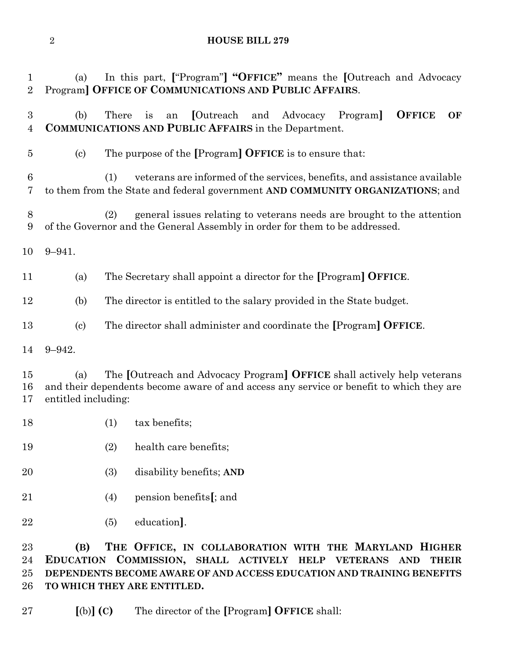**HOUSE BILL 279**

(a) In this part, **[**"Program"**] "OFFICE"** means the **[**Outreach and Advocacy

(b) There is an **[**Outreach and Advocacy Program**] OFFICE OF** 

Program**] OFFICE OF COMMUNICATIONS AND PUBLIC AFFAIRS**.

 **COMMUNICATIONS AND PUBLIC AFFAIRS** in the Department. (c) The purpose of the **[**Program**] OFFICE** is to ensure that: (1) veterans are informed of the services, benefits, and assistance available to them from the State and federal government **AND COMMUNITY ORGANIZATIONS**; and (2) general issues relating to veterans needs are brought to the attention of the Governor and the General Assembly in order for them to be addressed. 9–941. (a) The Secretary shall appoint a director for the **[**Program**] OFFICE**. (b) The director is entitled to the salary provided in the State budget. (c) The director shall administer and coordinate the **[**Program**] OFFICE**. 9–942. (a) The **[**Outreach and Advocacy Program**] OFFICE** shall actively help veterans and their dependents become aware of and access any service or benefit to which they are entitled including: 18 (1) tax benefits; (2) health care benefits; (3) disability benefits; **AND** (4) pension benefits**[**; and (5) education**]**. **(B) THE OFFICE, IN COLLABORATION WITH THE MARYLAND HIGHER EDUCATION COMMISSION, SHALL ACTIVELY HELP VETERANS AND THEIR DEPENDENTS BECOME AWARE OF AND ACCESS EDUCATION AND TRAINING BENEFITS TO WHICH THEY ARE ENTITLED. [**(b)**] (C)** The director of the **[**Program**] OFFICE** shall: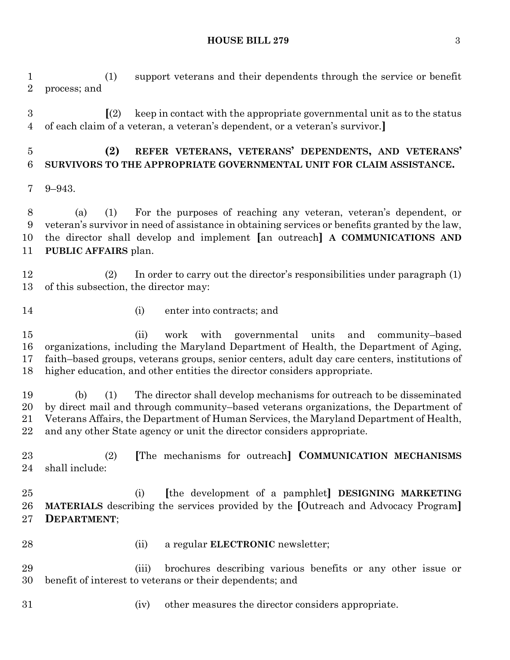**HOUSE BILL 279** 3

 (1) support veterans and their dependents through the service or benefit process; and

 **[**(2) keep in contact with the appropriate governmental unit as to the status of each claim of a veteran, a veteran's dependent, or a veteran's survivor.**]**

 **(2) REFER VETERANS, VETERANS' DEPENDENTS, AND VETERANS' SURVIVORS TO THE APPROPRIATE GOVERNMENTAL UNIT FOR CLAIM ASSISTANCE.**

9–943.

 (a) (1) For the purposes of reaching any veteran, veteran's dependent, or veteran's survivor in need of assistance in obtaining services or benefits granted by the law, the director shall develop and implement **[**an outreach**] A COMMUNICATIONS AND PUBLIC AFFAIRS** plan.

 (2) In order to carry out the director's responsibilities under paragraph (1) of this subsection, the director may:

- 
- (i) enter into contracts; and

 (ii) work with governmental units and community–based organizations, including the Maryland Department of Health, the Department of Aging, faith–based groups, veterans groups, senior centers, adult day care centers, institutions of higher education, and other entities the director considers appropriate.

 (b) (1) The director shall develop mechanisms for outreach to be disseminated by direct mail and through community–based veterans organizations, the Department of Veterans Affairs, the Department of Human Services, the Maryland Department of Health, and any other State agency or unit the director considers appropriate.

 (2) **[**The mechanisms for outreach**] COMMUNICATION MECHANISMS** shall include:

 (i) **[**the development of a pamphlet**] DESIGNING MARKETING MATERIALS** describing the services provided by the **[**Outreach and Advocacy Program**] DEPARTMENT**;

- 
- (ii) a regular **ELECTRONIC** newsletter;

 (iii) brochures describing various benefits or any other issue or benefit of interest to veterans or their dependents; and

- 
- (iv) other measures the director considers appropriate.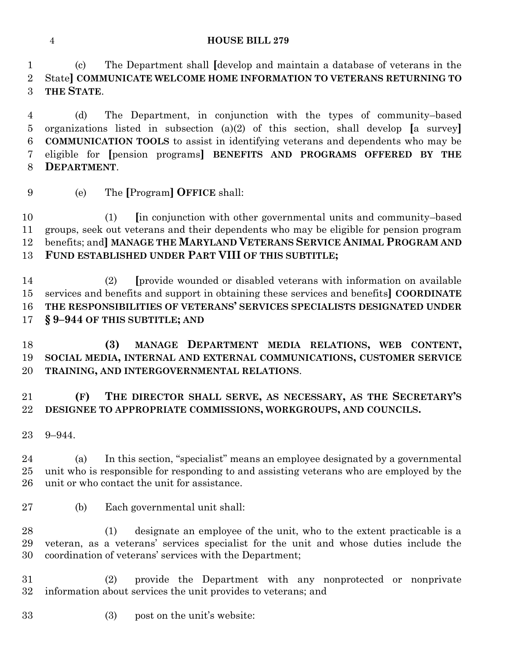#### **HOUSE BILL 279**

 (c) The Department shall **[**develop and maintain a database of veterans in the State**] COMMUNICATE WELCOME HOME INFORMATION TO VETERANS RETURNING TO THE STATE**.

 (d) The Department, in conjunction with the types of community–based organizations listed in subsection (a)(2) of this section, shall develop **[**a survey**] COMMUNICATION TOOLS** to assist in identifying veterans and dependents who may be eligible for **[**pension programs**] BENEFITS AND PROGRAMS OFFERED BY THE DEPARTMENT**.

(e) The **[**Program**] OFFICE** shall:

 (1) **[**in conjunction with other governmental units and community–based groups, seek out veterans and their dependents who may be eligible for pension program benefits; and**] MANAGE THE MARYLAND VETERANS SERVICE ANIMAL PROGRAM AND FUND ESTABLISHED UNDER PART VIII OF THIS SUBTITLE;**

 (2) **[**provide wounded or disabled veterans with information on available services and benefits and support in obtaining these services and benefits**] COORDINATE THE RESPONSIBILITIES OF VETERANS' SERVICES SPECIALISTS DESIGNATED UNDER § 9–944 OF THIS SUBTITLE; AND**

 **(3) MANAGE DEPARTMENT MEDIA RELATIONS, WEB CONTENT, SOCIAL MEDIA, INTERNAL AND EXTERNAL COMMUNICATIONS, CUSTOMER SERVICE TRAINING, AND INTERGOVERNMENTAL RELATIONS**.

## **(F) THE DIRECTOR SHALL SERVE, AS NECESSARY, AS THE SECRETARY'S DESIGNEE TO APPROPRIATE COMMISSIONS, WORKGROUPS, AND COUNCILS.**

9–944.

 (a) In this section, "specialist" means an employee designated by a governmental unit who is responsible for responding to and assisting veterans who are employed by the unit or who contact the unit for assistance.

(b) Each governmental unit shall:

 (1) designate an employee of the unit, who to the extent practicable is a veteran, as a veterans' services specialist for the unit and whose duties include the coordination of veterans' services with the Department;

 (2) provide the Department with any nonprotected or nonprivate information about services the unit provides to veterans; and

(3) post on the unit's website: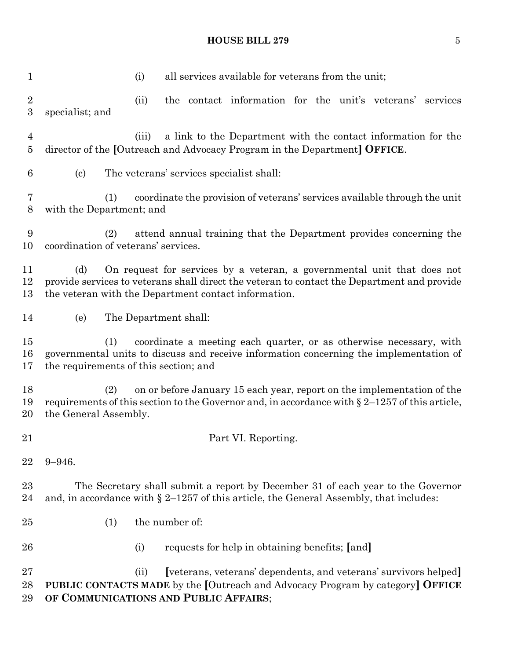#### **HOUSE BILL 279** 5

 (i) all services available for veterans from the unit; (ii) the contact information for the unit's veterans' services specialist; and (iii) a link to the Department with the contact information for the director of the **[**Outreach and Advocacy Program in the Department**] OFFICE**. (c) The veterans' services specialist shall: (1) coordinate the provision of veterans' services available through the unit with the Department; and (2) attend annual training that the Department provides concerning the coordination of veterans' services. (d) On request for services by a veteran, a governmental unit that does not provide services to veterans shall direct the veteran to contact the Department and provide the veteran with the Department contact information. (e) The Department shall: (1) coordinate a meeting each quarter, or as otherwise necessary, with governmental units to discuss and receive information concerning the implementation of the requirements of this section; and (2) on or before January 15 each year, report on the implementation of the 19 requirements of this section to the Governor and, in accordance with  $\S 2$ –1257 of this article, the General Assembly. **Part VI. Reporting.**  9–946. The Secretary shall submit a report by December 31 of each year to the Governor 24 and, in accordance with  $\S 2$ –1257 of this article, the General Assembly, that includes: (1) the number of: (i) requests for help in obtaining benefits; **[**and**]** (ii) **[**veterans, veterans' dependents, and veterans' survivors helped**] PUBLIC CONTACTS MADE** by the **[**Outreach and Advocacy Program by category**] OFFICE OF COMMUNICATIONS AND PUBLIC AFFAIRS**;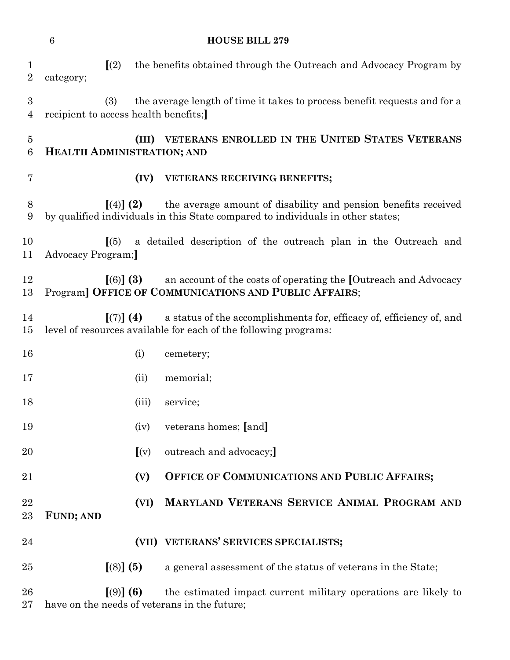|                           | $\,6\,$<br><b>HOUSE BILL 279</b>            |                         |                                                                                                                                                   |  |  |  |
|---------------------------|---------------------------------------------|-------------------------|---------------------------------------------------------------------------------------------------------------------------------------------------|--|--|--|
| $\mathbf 1$<br>$\sqrt{2}$ | category;                                   | (2)                     | the benefits obtained through the Outreach and Advocacy Program by                                                                                |  |  |  |
| 3<br>$\overline{4}$       | (3)<br>recipient to access health benefits; |                         | the average length of time it takes to process benefit requests and for a                                                                         |  |  |  |
| $\overline{5}$<br>$\,6$   | <b>HEALTH ADMINISTRATION; AND</b>           |                         | (III) VETERANS ENROLLED IN THE UNITED STATES VETERANS                                                                                             |  |  |  |
| $\overline{7}$            |                                             | (IV)                    | VETERANS RECEIVING BENEFITS;                                                                                                                      |  |  |  |
| 8<br>9                    |                                             | $(4)$ (2)               | the average amount of disability and pension benefits received<br>by qualified individuals in this State compared to individuals in other states; |  |  |  |
| 10<br>11                  | Advocacy Program;                           | (5)                     | a detailed description of the outreach plan in the Outreach and                                                                                   |  |  |  |
| 12<br>13                  |                                             | $(6)$ (3)               | an account of the costs of operating the [Outreach and Advocacy<br>Program] OFFICE OF COMMUNICATIONS AND PUBLIC AFFAIRS;                          |  |  |  |
| 14<br>15                  |                                             | $\lceil (7) \rceil (4)$ | a status of the accomplishments for, efficacy of, efficiency of, and<br>level of resources available for each of the following programs:          |  |  |  |
| 16                        |                                             | (i)                     | cemetery;                                                                                                                                         |  |  |  |
| 17                        |                                             | (ii)                    | memorial;                                                                                                                                         |  |  |  |
| 18                        |                                             | (iii)                   | service;                                                                                                                                          |  |  |  |
| 19                        |                                             | (iv)                    | veterans homes; [and]                                                                                                                             |  |  |  |
| 20                        |                                             | (x)                     | outreach and advocacy;]                                                                                                                           |  |  |  |
| 21                        |                                             | (V)                     | OFFICE OF COMMUNICATIONS AND PUBLIC AFFAIRS;                                                                                                      |  |  |  |
| 22<br>23                  | <b>FUND; AND</b>                            | (VI)                    | MARYLAND VETERANS SERVICE ANIMAL PROGRAM AND                                                                                                      |  |  |  |
| 24                        |                                             |                         | (VII) VETERANS' SERVICES SPECIALISTS;                                                                                                             |  |  |  |
| 25                        |                                             | $(8)$ (5)               | a general assessment of the status of veterans in the State;                                                                                      |  |  |  |
| 26<br>27                  |                                             | $(9)$ (6)               | the estimated impact current military operations are likely to<br>have on the needs of veterans in the future;                                    |  |  |  |